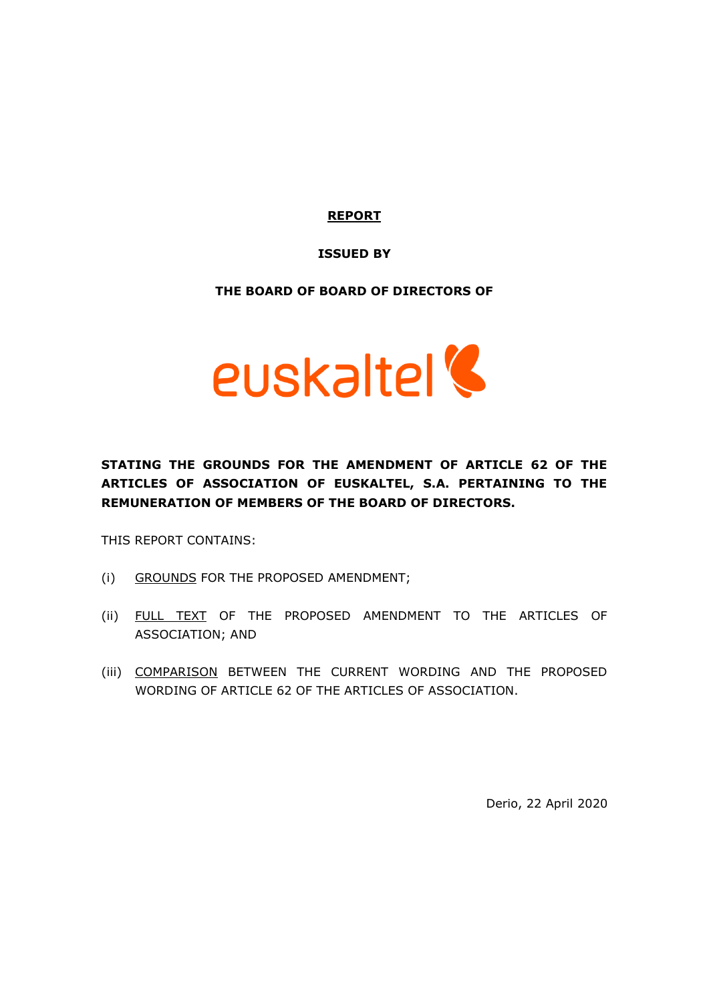### **REPORT**

# **ISSUED BY**

#### **THE BOARD OF BOARD OF DIRECTORS OF**



**STATING THE GROUNDS FOR THE AMENDMENT OF ARTICLE 62 OF THE ARTICLES OF ASSOCIATION OF EUSKALTEL, S.A. PERTAINING TO THE REMUNERATION OF MEMBERS OF THE BOARD OF DIRECTORS.** 

THIS REPORT CONTAINS:

- (i) GROUNDS FOR THE PROPOSED AMENDMENT;
- (ii) FULL TEXT OF THE PROPOSED AMENDMENT TO THE ARTICLES OF ASSOCIATION; AND
- (iii) COMPARISON BETWEEN THE CURRENT WORDING AND THE PROPOSED WORDING OF ARTICLE 62 OF THE ARTICLES OF ASSOCIATION.

Derio, 22 April 2020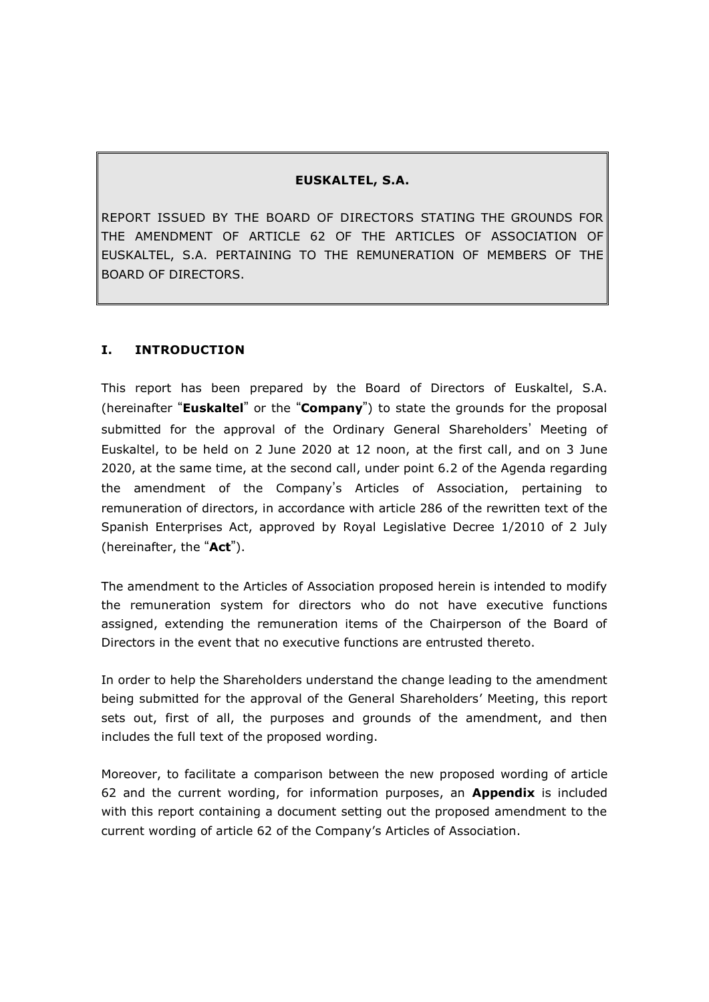### **EUSKALTEL, S.A.**

REPORT ISSUED BY THE BOARD OF DIRECTORS STATING THE GROUNDS FOR THE AMENDMENT OF ARTICLE 62 OF THE ARTICLES OF ASSOCIATION OF EUSKALTEL, S.A. PERTAINING TO THE REMUNERATION OF MEMBERS OF THE BOARD OF DIRECTORS.

### **I. INTRODUCTION**

This report has been prepared by the Board of Directors of Euskaltel, S.A. (hereinafter "**Euskaltel**" or the "**Company**") to state the grounds for the proposal submitted for the approval of the Ordinary General Shareholders' Meeting of Euskaltel, to be held on 2 June 2020 at 12 noon, at the first call, and on 3 June 2020, at the same time, at the second call, under point 6.2 of the Agenda regarding the amendment of the Company's Articles of Association, pertaining to remuneration of directors, in accordance with article 286 of the rewritten text of the Spanish Enterprises Act, approved by Royal Legislative Decree 1/2010 of 2 July (hereinafter, the "**Act**").

The amendment to the Articles of Association proposed herein is intended to modify the remuneration system for directors who do not have executive functions assigned, extending the remuneration items of the Chairperson of the Board of Directors in the event that no executive functions are entrusted thereto.

In order to help the Shareholders understand the change leading to the amendment being submitted for the approval of the General Shareholders' Meeting, this report sets out, first of all, the purposes and grounds of the amendment, and then includes the full text of the proposed wording.

Moreover, to facilitate a comparison between the new proposed wording of article 62 and the current wording, for information purposes, an **Appendix** is included with this report containing a document setting out the proposed amendment to the current wording of article 62 of the Company's Articles of Association.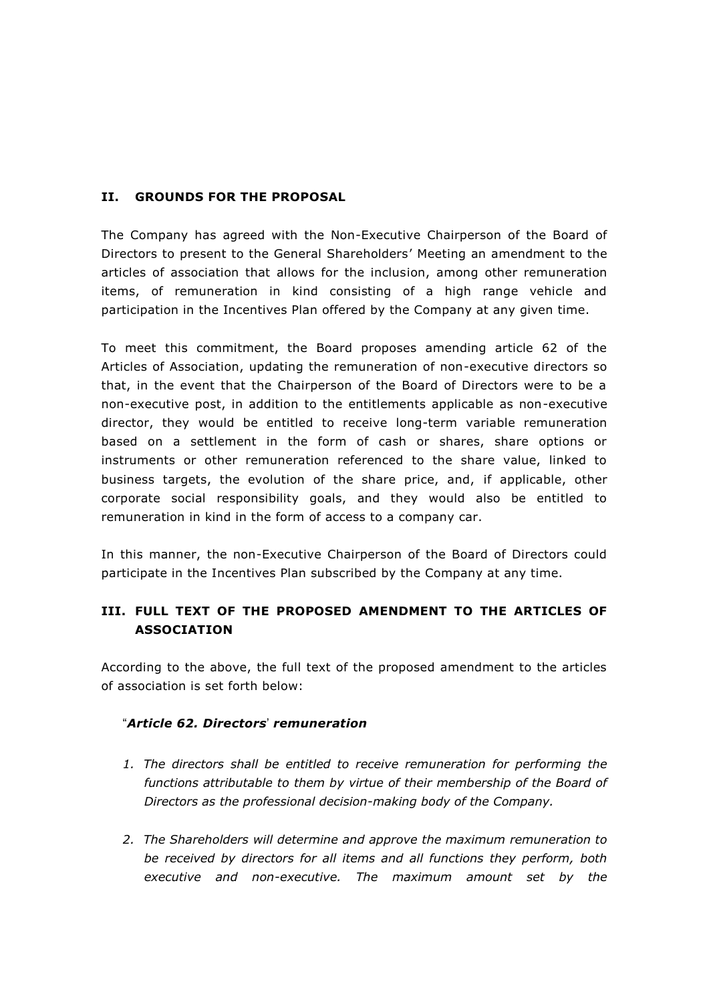## **II. GROUNDS FOR THE PROPOSAL**

The Company has agreed with the Non-Executive Chairperson of the Board of Directors to present to the General Shareholders' Meeting an amendment to the articles of association that allows for the inclusion, among other remuneration items, of remuneration in kind consisting of a high range vehicle and participation in the Incentives Plan offered by the Company at any given time.

To meet this commitment, the Board proposes amending article 62 of the Articles of Association, updating the remuneration of non-executive directors so that, in the event that the Chairperson of the Board of Directors were to be a non-executive post, in addition to the entitlements applicable as non-executive director, they would be entitled to receive long-term variable remuneration based on a settlement in the form of cash or shares, share options or instruments or other remuneration referenced to the share value, linked to business targets, the evolution of the share price, and, if applicable, other corporate social responsibility goals, and they would also be entitled to remuneration in kind in the form of access to a company car.

In this manner, the non-Executive Chairperson of the Board of Directors could participate in the Incentives Plan subscribed by the Company at any time.

# **III. FULL TEXT OF THE PROPOSED AMENDMENT TO THE ARTICLES OF ASSOCIATION**

According to the above, the full text of the proposed amendment to the articles of association is set forth below:

### "*Article 62. Directors*' *remuneration*

- *1. The directors shall be entitled to receive remuneration for performing the*  functions attributable to them by virtue of their membership of the Board of *Directors as the professional decision-making body of the Company.*
- *2. The Shareholders will determine and approve the maximum remuneration to be received by directors for all items and all functions they perform, both executive and non-executive. The maximum amount set by the*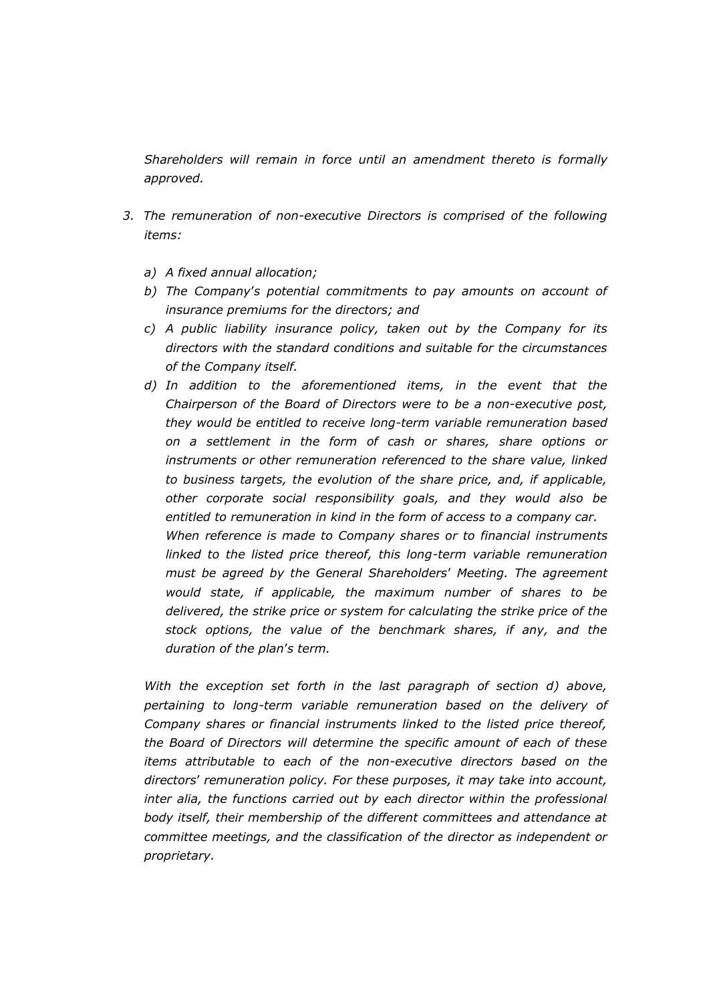*Shareholders will remain in force until an amendment thereto is formally approved.*

- *3. The remuneration of non-executive Directors is comprised of the following items:* 
	- *a) A fixed annual allocation;*
	- *b) The Company*'*s potential commitments to pay amounts on account of insurance premiums for the directors; and*
	- *c) A public liability insurance policy, taken out by the Company for its directors with the standard conditions and suitable for the circumstances of the Company itself.*
	- *d) In addition to the aforementioned items, in the event that the Chairperson of the Board of Directors were to be a non-executive post, they would be entitled to receive long-term variable remuneration based on a settlement in the form of cash or shares, share options or instruments or other remuneration referenced to the share value, linked to business targets, the evolution of the share price, and, if applicable, other corporate social responsibility goals, and they would also be entitled to remuneration in kind in the form of access to a company car. When reference is made to Company shares or to financial instruments linked to the listed price thereof, this long-term variable remuneration must be agreed by the General Shareholders*' *Meeting. The agreement would state, if applicable, the maximum number of shares to be delivered, the strike price or system for calculating the strike price of the stock options, the value of the benchmark shares, if any, and the duration of the plan*'*s term.*

*With the exception set forth in the last paragraph of section d) above, pertaining to long-term variable remuneration based on the delivery of Company shares or financial instruments linked to the listed price thereof, the Board of Directors will determine the specific amount of each of these items attributable to each of the non-executive directors based on the directors*' *remuneration policy. For these purposes, it may take into account,*  inter alia, the functions carried out by each director within the professional *body itself, their membership of the different committees and attendance at committee meetings, and the classification of the director as independent or proprietary.*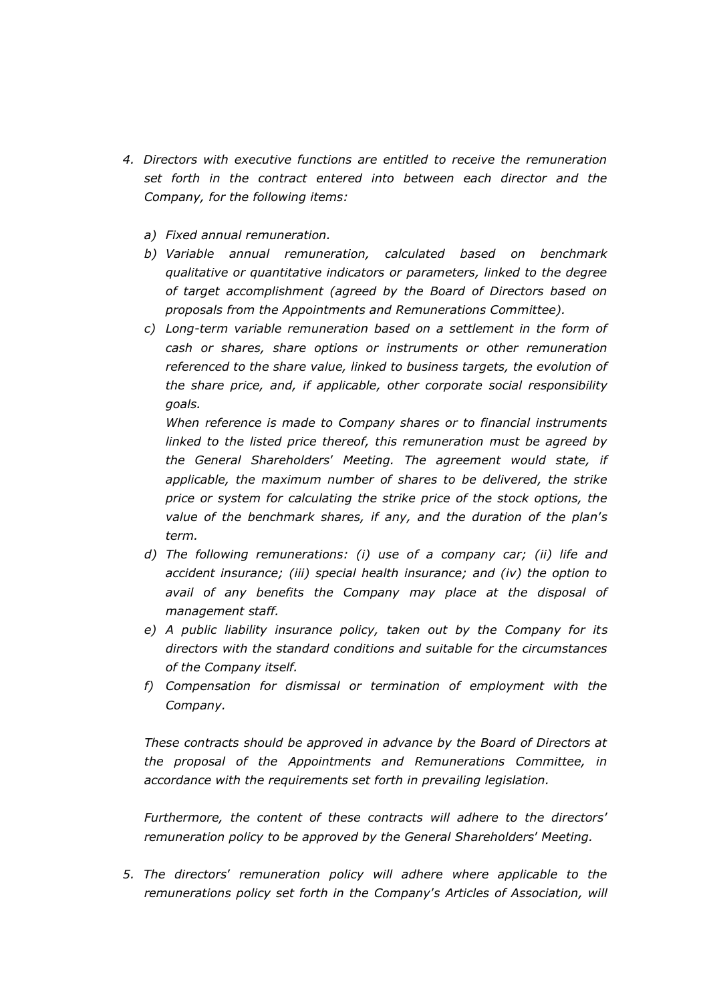- *4. Directors with executive functions are entitled to receive the remuneration set forth in the contract entered into between each director and the Company, for the following items:*
	- *a) Fixed annual remuneration.*
	- *b) Variable annual remuneration, calculated based on benchmark qualitative or quantitative indicators or parameters, linked to the degree of target accomplishment (agreed by the Board of Directors based on proposals from the Appointments and Remunerations Committee).*
	- *c) Long-term variable remuneration based on a settlement in the form of cash or shares, share options or instruments or other remuneration referenced to the share value, linked to business targets, the evolution of the share price, and, if applicable, other corporate social responsibility goals.*

*When reference is made to Company shares or to financial instruments linked to the listed price thereof, this remuneration must be agreed by the General Shareholders*' *Meeting. The agreement would state, if applicable, the maximum number of shares to be delivered, the strike price or system for calculating the strike price of the stock options, the value of the benchmark shares, if any, and the duration of the plan*'*s term.*

- *d) The following remunerations: (i) use of a company car; (ii) life and accident insurance; (iii) special health insurance; and (iv) the option to avail of any benefits the Company may place at the disposal of management staff.*
- *e) A public liability insurance policy, taken out by the Company for its directors with the standard conditions and suitable for the circumstances of the Company itself.*
- *f) Compensation for dismissal or termination of employment with the Company.*

*These contracts should be approved in advance by the Board of Directors at the proposal of the Appointments and Remunerations Committee, in accordance with the requirements set forth in prevailing legislation.* 

*Furthermore, the content of these contracts will adhere to the directors*' *remuneration policy to be approved by the General Shareholders*' *Meeting.*

*5. The directors*' *remuneration policy will adhere where applicable to the remunerations policy set forth in the Company*'*s Articles of Association, will*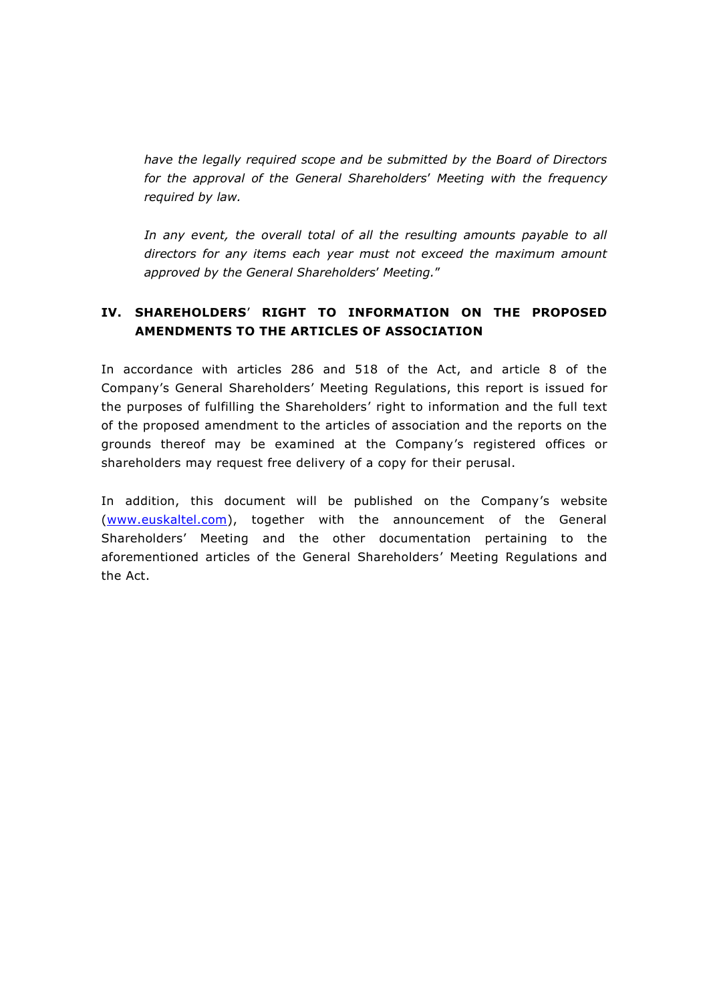*have the legally required scope and be submitted by the Board of Directors for the approval of the General Shareholders*' *Meeting with the frequency required by law.*

In any event, the overall total of all the resulting amounts payable to all *directors for any items each year must not exceed the maximum amount approved by the General Shareholders*' *Meeting.*"

# **IV. SHAREHOLDERS**' **RIGHT TO INFORMATION ON THE PROPOSED AMENDMENTS TO THE ARTICLES OF ASSOCIATION**

In accordance with articles 286 and 518 of the Act, and article 8 of the Company's General Shareholders' Meeting Regulations, this report is issued for the purposes of fulfilling the Shareholders' right to information and the full text of the proposed amendment to the articles of association and the reports on the grounds thereof may be examined at the Company's registered offices or shareholders may request free delivery of a copy for their perusal.

In addition, this document will be published on the Company's website [\(www.euskaltel.com\)](http://www.euskaltel.com/), together with the announcement of the General Shareholders' Meeting and the other documentation pertaining to the aforementioned articles of the General Shareholders' Meeting Regulations and the Act.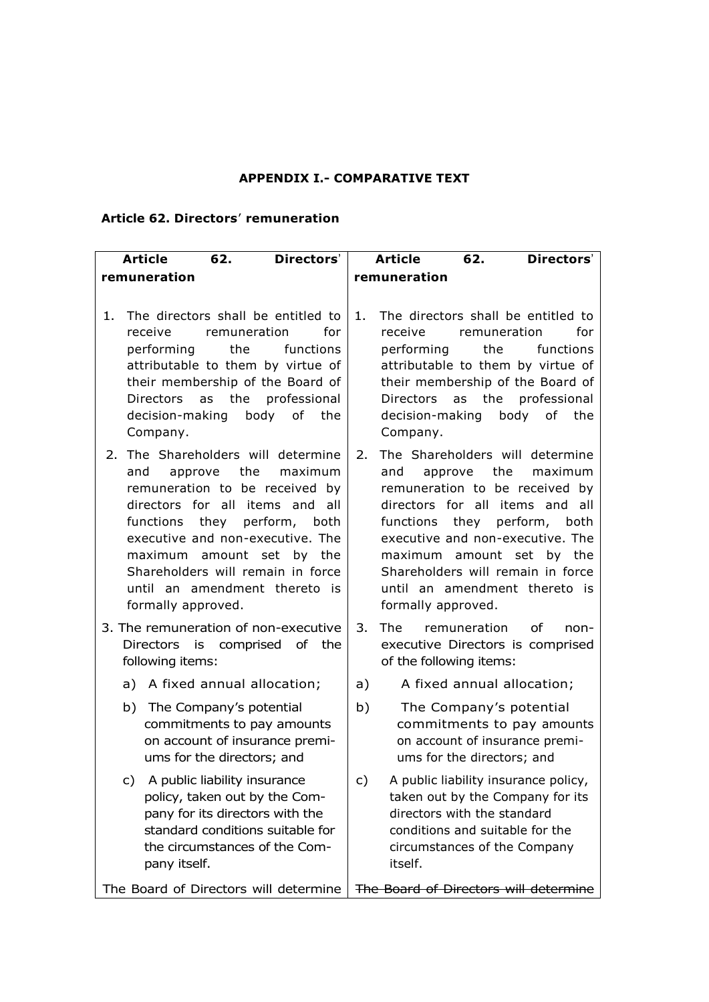### **APPENDIX I.- COMPARATIVE TEXT**

### **Article 62. Directors**' **remuneration**

| Directors'<br><b>Article</b><br>62. |                                                                                                                                                                                                                                                                                                                                             |                                                                                                                                                                                          | 62.<br>Directors'<br><b>Article</b> |    |                                                                                                                                                                                                                                                                                                                                             |                                                       |                                                                                                                                             |  |
|-------------------------------------|---------------------------------------------------------------------------------------------------------------------------------------------------------------------------------------------------------------------------------------------------------------------------------------------------------------------------------------------|------------------------------------------------------------------------------------------------------------------------------------------------------------------------------------------|-------------------------------------|----|---------------------------------------------------------------------------------------------------------------------------------------------------------------------------------------------------------------------------------------------------------------------------------------------------------------------------------------------|-------------------------------------------------------|---------------------------------------------------------------------------------------------------------------------------------------------|--|
| remuneration                        |                                                                                                                                                                                                                                                                                                                                             |                                                                                                                                                                                          |                                     |    | remuneration                                                                                                                                                                                                                                                                                                                                |                                                       |                                                                                                                                             |  |
| 1.                                  | The directors shall be entitled to<br>for<br>receive<br>remuneration<br>the<br>performing<br>functions<br>attributable to them by virtue of<br>their membership of the Board of<br><b>Directors</b><br>as the professional<br>decision-making body of the<br>Company.                                                                       |                                                                                                                                                                                          |                                     |    | The directors shall be entitled to<br>1.<br>for<br>receive<br>remuneration<br>the<br>functions<br>performing<br>attributable to them by virtue of<br>their membership of the Board of<br><b>Directors</b><br>as the<br>professional<br>decision-making<br>body<br>of the<br>Company.                                                        |                                                       |                                                                                                                                             |  |
|                                     | 2. The Shareholders will determine<br>approve the<br>maximum<br>and<br>remuneration to be received by<br>directors for all items and<br>all<br>they perform, both<br>functions<br>executive and non-executive. The<br>maximum amount set by the<br>Shareholders will remain in force<br>until an amendment thereto is<br>formally approved. |                                                                                                                                                                                          |                                     |    | The Shareholders will determine<br>2.<br>approve the<br>maximum<br>and<br>remuneration to be received by<br>directors for all items and<br>all<br>functions they perform, both<br>executive and non-executive. The<br>maximum amount set by the<br>Shareholders will remain in force<br>until an amendment thereto is<br>formally approved. |                                                       |                                                                                                                                             |  |
|                                     |                                                                                                                                                                                                                                                                                                                                             | 3. The remuneration of non-executive<br>Directors is comprised of the<br>following items:                                                                                                |                                     | 3. | The                                                                                                                                                                                                                                                                                                                                         | remuneration<br>of the following items:               | Ωf<br>$non-$<br>executive Directors is comprised                                                                                            |  |
|                                     |                                                                                                                                                                                                                                                                                                                                             | a) A fixed annual allocation;                                                                                                                                                            |                                     | a) |                                                                                                                                                                                                                                                                                                                                             |                                                       | A fixed annual allocation;                                                                                                                  |  |
|                                     |                                                                                                                                                                                                                                                                                                                                             | b) The Company's potential<br>commitments to pay amounts<br>on account of insurance premi-<br>ums for the directors; and                                                                 |                                     | b) |                                                                                                                                                                                                                                                                                                                                             | The Company's potential<br>ums for the directors; and | commitments to pay amounts<br>on account of insurance premi-                                                                                |  |
|                                     |                                                                                                                                                                                                                                                                                                                                             | c) A public liability insurance<br>policy, taken out by the Com-<br>pany for its directors with the<br>standard conditions suitable for<br>the circumstances of the Com-<br>pany itself. |                                     | c) | itself.                                                                                                                                                                                                                                                                                                                                     | directors with the standard                           | A public liability insurance policy,<br>taken out by the Company for its<br>conditions and suitable for the<br>circumstances of the Company |  |
| of Diroctors will determine         |                                                                                                                                                                                                                                                                                                                                             |                                                                                                                                                                                          |                                     |    |                                                                                                                                                                                                                                                                                                                                             |                                                       | The Beard of Directors will determine                                                                                                       |  |

The Board of Directors will determine | The Board of Directors will determine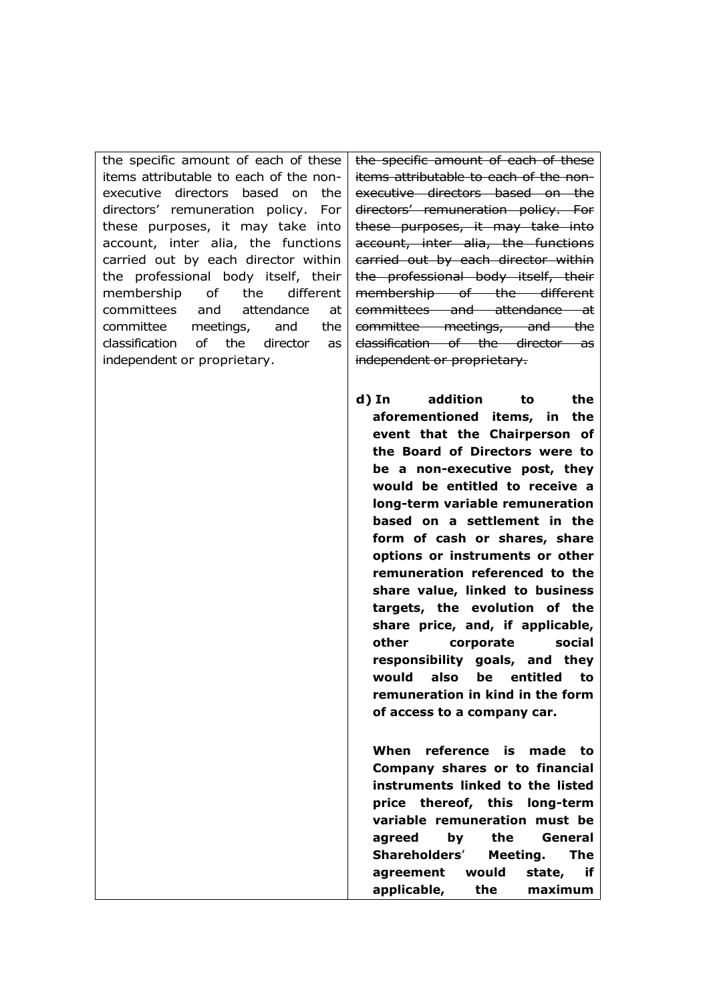the specific amount of each of these items attributable to each of the nonexecutive directors based on the directors' remuneration policy. For these purposes, it may take into account, inter alia, the functions carried out by each director within the professional body itself, their membership of the different committees and attendance at committee meetings, and the classification of the director as independent or proprietary.

the specific amount of each of these items attributable to each of the nonexecutive directors based on the directors' remuneration policy. For these purposes, it may take into account, inter alia, the functions carried out by each director within the professional body itself, their membership of the different committees and attendance at committee meetings, and the classification of the director as independent or proprietary.

**d) In addition to the aforementioned items, in the event that the Chairperson of the Board of Directors were to be a non-executive post, they would be entitled to receive a long-term variable remuneration based on a settlement in the form of cash or shares, share options or instruments or other remuneration referenced to the share value, linked to business targets, the evolution of the share price, and, if applicable, other corporate social responsibility goals, and they would also be entitled to remuneration in kind in the form of access to a company car.**

**When reference is made to Company shares or to financial instruments linked to the listed price thereof, this long-term variable remuneration must be agreed by the General Shareholders**' **Meeting. The agreement would state, if applicable, the maximum**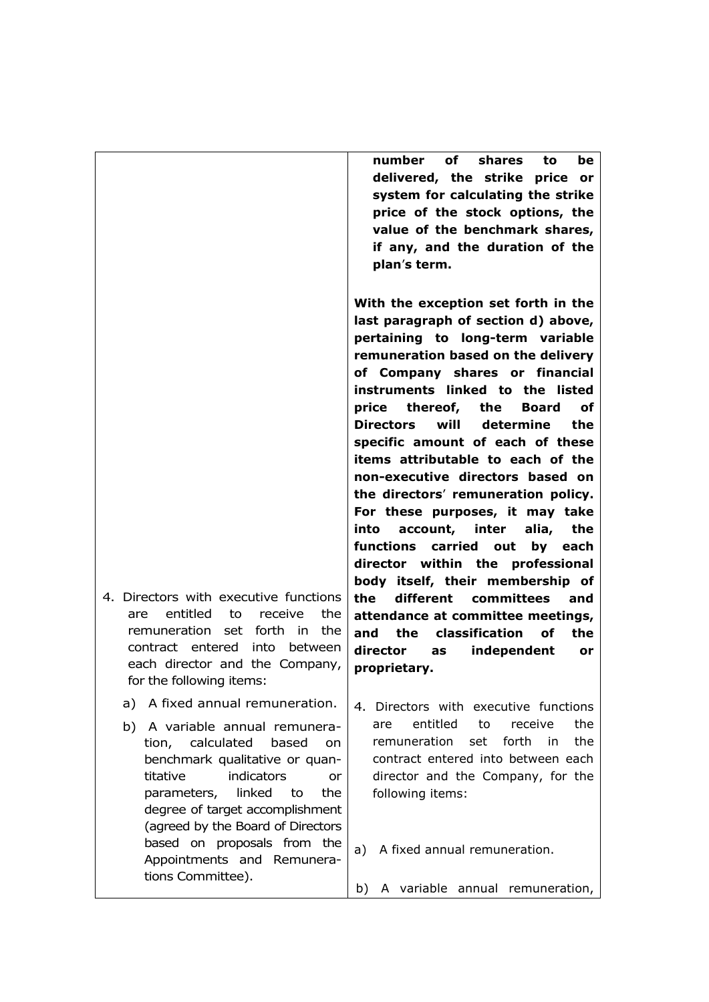|                                                                                                                                                                                                                                                    | number of<br>shares to<br>be<br>delivered, the strike price or<br>system for calculating the strike<br>price of the stock options, the<br>value of the benchmark shares,<br>if any, and the duration of the<br>plan's term.                                                                                                                                                                                                                                                                                                                                                                                                                                                                                                                                                                                                                       |  |  |  |
|----------------------------------------------------------------------------------------------------------------------------------------------------------------------------------------------------------------------------------------------------|---------------------------------------------------------------------------------------------------------------------------------------------------------------------------------------------------------------------------------------------------------------------------------------------------------------------------------------------------------------------------------------------------------------------------------------------------------------------------------------------------------------------------------------------------------------------------------------------------------------------------------------------------------------------------------------------------------------------------------------------------------------------------------------------------------------------------------------------------|--|--|--|
| 4. Directors with executive functions<br>entitled<br>to<br>receive<br>the<br>are<br>remuneration set forth<br>in l<br>the<br>contract entered into between<br>each director and the Company,<br>for the following items:                           | With the exception set forth in the<br>last paragraph of section d) above,<br>pertaining to long-term variable<br>remuneration based on the delivery<br>of Company shares or financial<br>instruments linked to the listed<br>price<br>thereof,<br>the<br>Board<br>оf<br>determine<br><b>Directors</b><br>will<br>the<br>specific amount of each of these<br>items attributable to each of the<br>non-executive directors based on<br>the directors' remuneration policy.<br>For these purposes, it may take<br>account, inter<br>alia,<br>into<br>the<br>functions carried out<br>by each<br>director within the professional<br>body itself, their membership of<br>different committees<br>the<br>and<br>attendance at committee meetings,<br>the<br>classification<br>οf<br>the<br>and<br>director<br>independent<br>or<br>as<br>proprietary. |  |  |  |
| A fixed annual remuneration.<br>a)                                                                                                                                                                                                                 | 4. Directors with executive functions                                                                                                                                                                                                                                                                                                                                                                                                                                                                                                                                                                                                                                                                                                                                                                                                             |  |  |  |
| b) A variable annual remunera-<br>tion, calculated<br>based<br>on.<br>benchmark qualitative or quan-<br>indicators<br>titative<br>or<br>linked<br>parameters,<br>to<br>the<br>degree of target accomplishment<br>(agreed by the Board of Directors | entitled<br>the<br>to<br>receive<br>are<br>forth<br>the<br>remuneration<br>set<br>in in<br>contract entered into between each<br>director and the Company, for the<br>following items:                                                                                                                                                                                                                                                                                                                                                                                                                                                                                                                                                                                                                                                            |  |  |  |
| based on proposals from the<br>Appointments and Remunera-                                                                                                                                                                                          | A fixed annual remuneration.<br>a)                                                                                                                                                                                                                                                                                                                                                                                                                                                                                                                                                                                                                                                                                                                                                                                                                |  |  |  |

tions Committee).

b) A variable annual remuneration,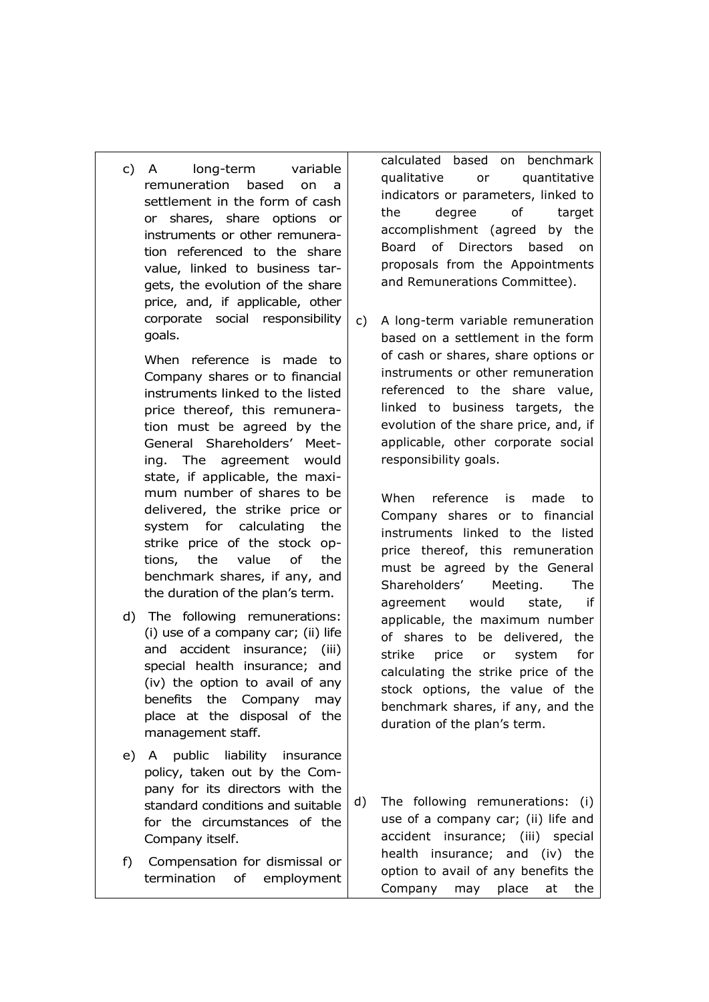c) A long-term variable remuneration based on a settlement in the form of cash or shares, share options or instruments or other remuneration referenced to the share value, linked to business targets, the evolution of the share price, and, if applicable, other corporate social responsibility goals.

When reference is made to Company shares or to financial instruments linked to the listed price thereof, this remuneration must be agreed by the General Shareholders' Meeting. The agreement would state, if applicable, the maximum number of shares to be delivered, the strike price or system for calculating the strike price of the stock options, the value of the benchmark shares, if any, and the duration of the plan's term.

- d) The following remunerations: (i) use of a company car; (ii) life and accident insurance; (iii) special health insurance; and (iv) the option to avail of any benefits the Company may place at the disposal of the management staff.
- e) A public liability insurance policy, taken out by the Company for its directors with the standard conditions and suitable for the circumstances of the Company itself.
- f) Compensation for dismissal or termination of employment

calculated based on benchmark qualitative or quantitative indicators or parameters, linked to the degree of target accomplishment (agreed by the Board of Directors based on proposals from the Appointments and Remunerations Committee).

c) A long-term variable remuneration based on a settlement in the form of cash or shares, share options or instruments or other remuneration referenced to the share value, linked to business targets, the evolution of the share price, and, if applicable, other corporate social responsibility goals.

When reference is made to Company shares or to financial instruments linked to the listed price thereof, this remuneration must be agreed by the General Shareholders' Meeting. The agreement would state, if applicable, the maximum number of shares to be delivered, the strike price or system for calculating the strike price of the stock options, the value of the benchmark shares, if any, and the duration of the plan's term.

d) The following remunerations: (i) use of a company car; (ii) life and accident insurance; (iii) special health insurance; and (iv) the option to avail of any benefits the Company may place at the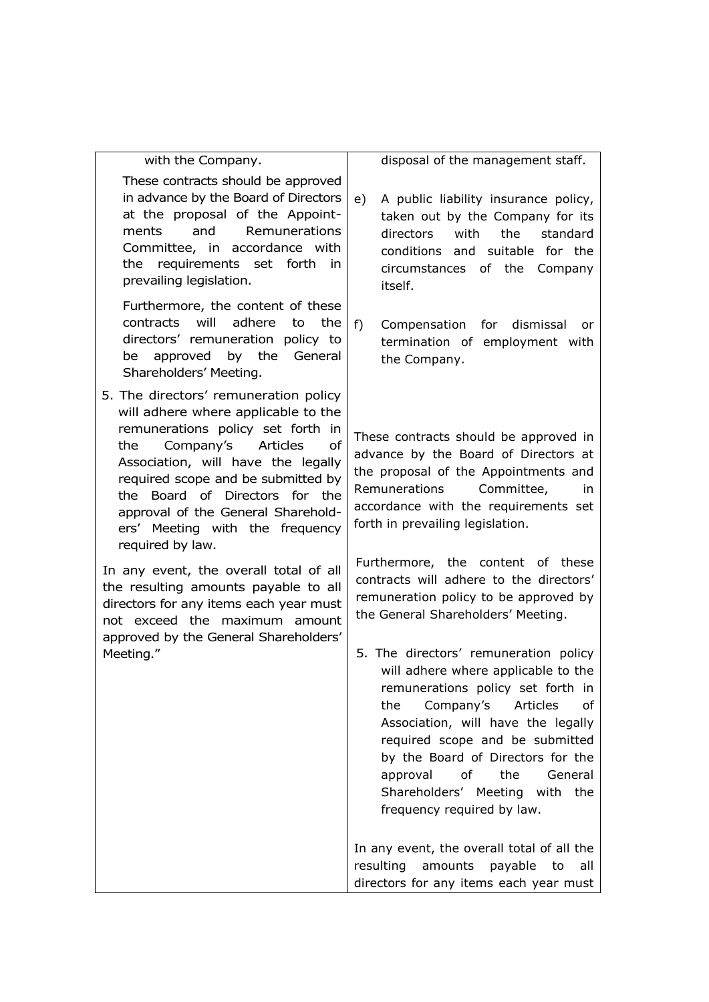| with the Company.                                                                                                                                                                                                                                                                                                                                                  | disposal of the management staff.                                                                                                                                                                                                                                                                                                                                         |  |  |  |
|--------------------------------------------------------------------------------------------------------------------------------------------------------------------------------------------------------------------------------------------------------------------------------------------------------------------------------------------------------------------|---------------------------------------------------------------------------------------------------------------------------------------------------------------------------------------------------------------------------------------------------------------------------------------------------------------------------------------------------------------------------|--|--|--|
| These contracts should be approved<br>in advance by the Board of Directors<br>at the proposal of the Appoint-<br>and<br>Remunerations<br>ments<br>Committee, in accordance with<br>the requirements set forth<br>-in<br>prevailing legislation.                                                                                                                    | e)<br>A public liability insurance policy,<br>taken out by the Company for its<br>directors<br>with<br>the<br>standard<br>conditions and suitable for the<br>circumstances of the Company<br>itself.                                                                                                                                                                      |  |  |  |
| Furthermore, the content of these<br>will<br>adhere<br>contracts<br>to<br>the<br>directors' remuneration policy to<br>approved by the General<br>be<br>Shareholders' Meeting.                                                                                                                                                                                      | f)<br>Compensation for<br>dismissal<br>or<br>termination of employment with<br>the Company.                                                                                                                                                                                                                                                                               |  |  |  |
| 5. The directors' remuneration policy<br>will adhere where applicable to the<br>remunerations policy set forth in<br>Company's<br>of<br>Articles<br>the<br>Association, will have the legally<br>required scope and be submitted by<br>the Board of Directors for the<br>approval of the General Sharehold-<br>ers' Meeting with the frequency<br>required by law. | These contracts should be approved in<br>advance by the Board of Directors at<br>the proposal of the Appointments and<br>Remunerations<br>Committee,<br>in.<br>accordance with the requirements set<br>forth in prevailing legislation.                                                                                                                                   |  |  |  |
| In any event, the overall total of all<br>the resulting amounts payable to all<br>directors for any items each year must<br>not exceed the maximum amount<br>approved by the General Shareholders'                                                                                                                                                                 | Furthermore, the content of these<br>contracts will adhere to the directors'<br>remuneration policy to be approved by<br>the General Shareholders' Meeting.                                                                                                                                                                                                               |  |  |  |
| Meeting."                                                                                                                                                                                                                                                                                                                                                          | 5. The directors' remuneration policy<br>will adhere where applicable to the<br>remunerations policy set forth in<br>Company's<br>Articles<br>of<br>the<br>Association, will have the legally<br>required scope and be submitted<br>by the Board of Directors for the<br>the<br>approval<br>of<br>General<br>Shareholders' Meeting with the<br>frequency required by law. |  |  |  |
|                                                                                                                                                                                                                                                                                                                                                                    | In any event, the overall total of all the<br>resulting<br>amounts<br>payable<br>to<br>all<br>directors for any items each year must                                                                                                                                                                                                                                      |  |  |  |